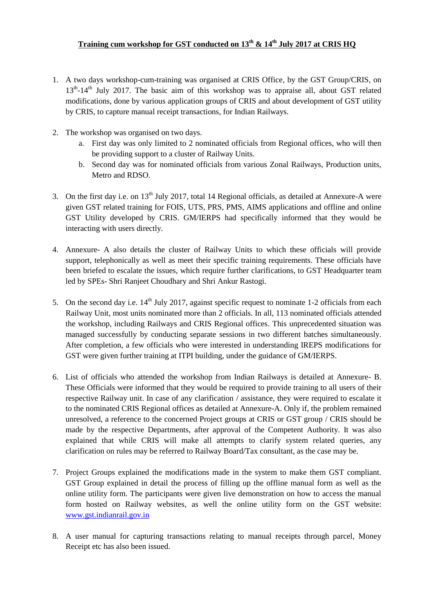### **Training cum workshop for GST conducted on 13th & 14th July 2017 at CRIS HQ**

- 1. A two days workshop-cum-training was organised at CRIS Office, by the GST Group/CRIS, on 13<sup>th</sup>-14<sup>th</sup> July 2017. The basic aim of this workshop was to appraise all, about GST related modifications, done by various application groups of CRIS and about development of GST utility by CRIS, to capture manual receipt transactions, for Indian Railways.
- 2. The workshop was organised on two days.
	- a. First day was only limited to 2 nominated officials from Regional offices, who will then be providing support to a cluster of Railway Units.
	- b. Second day was for nominated officials from various Zonal Railways, Production units, Metro and RDSO.
- 3. On the first day i.e. on 13<sup>th</sup> July 2017, total 14 Regional officials, as detailed at Annexure-A were given GST related training for FOIS, UTS, PRS, PMS, AIMS applications and offline and online GST Utility developed by CRIS. GM/IERPS had specifically informed that they would be interacting with users directly.
- 4. Annexure- A also details the cluster of Railway Units to which these officials will provide support, telephonically as well as meet their specific training requirements. These officials have been briefed to escalate the issues, which require further clarifications, to GST Headquarter team led by SPEs- Shri Ranjeet Choudhary and Shri Ankur Rastogi.
- 5. On the second day i.e.  $14<sup>th</sup>$  July 2017, against specific request to nominate 1-2 officials from each Railway Unit, most units nominated more than 2 officials. In all, 113 nominated officials attended the workshop, including Railways and CRIS Regional offices. This unprecedented situation was managed successfully by conducting separate sessions in two different batches simultaneously. After completion, a few officials who were interested in understanding IREPS modifications for GST were given further training at ITPI building, under the guidance of GM/IERPS.
- 6. List of officials who attended the workshop from Indian Railways is detailed at Annexure- B. These Officials were informed that they would be required to provide training to all users of their respective Railway unit. In case of any clarification / assistance, they were required to escalate it to the nominated CRIS Regional offices as detailed at Annexure-A. Only if, the problem remained unresolved, a reference to the concerned Project groups at CRIS or GST group / CRIS should be made by the respective Departments, after approval of the Competent Authority. It was also explained that while CRIS will make all attempts to clarify system related queries, any clarification on rules may be referred to Railway Board/Tax consultant, as the case may be.
- 7. Project Groups explained the modifications made in the system to make them GST compliant. GST Group explained in detail the process of filling up the offline manual form as well as the online utility form. The participants were given live demonstration on how to access the manual form hosted on Railway websites, as well the online utility form on the GST website: [www.gst.indianrail.gov.in](http://www.gst.indianrail.gov.in/)
- 8. A user manual for capturing transactions relating to manual receipts through parcel, Money Receipt etc has also been issued.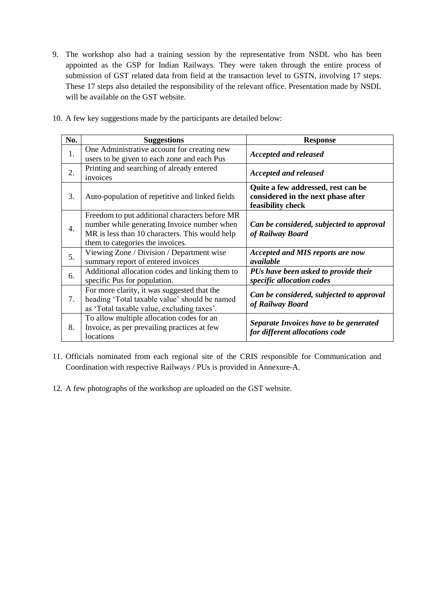9. The workshop also had a training session by the representative from NSDL who has been appointed as the GSP for Indian Railways. They were taken through the entire process of submission of GST related data from field at the transaction level to GSTN, involving 17 steps. These 17 steps also detailed the responsibility of the relevant office. Presentation made by NSDL will be available on the GST website.

| No. | <b>Suggestions</b>                                                                                                                                                                  | <b>Response</b>                                                                               |
|-----|-------------------------------------------------------------------------------------------------------------------------------------------------------------------------------------|-----------------------------------------------------------------------------------------------|
| 1.  | One Administrative account for creating new<br>users to be given to each zone and each Pus                                                                                          | <b>Accepted and released</b>                                                                  |
| 2.  | Printing and searching of already entered<br>invoices                                                                                                                               | <b>Accepted and released</b>                                                                  |
| 3.  | Auto-population of repetitive and linked fields                                                                                                                                     | Quite a few addressed, rest can be<br>considered in the next phase after<br>feasibility check |
| 4.  | Freedom to put additional characters before MR<br>number while generating Invoice number when<br>MR is less than 10 characters. This would help<br>them to categories the invoices. | Can be considered, subjected to approval<br>of Railway Board                                  |
| 5.  | Viewing Zone / Division / Department wise<br>summary report of entered invoices                                                                                                     | <b>Accepted and MIS reports are now</b><br>available                                          |
| 6.  | Additional allocation codes and linking them to<br>specific Pus for population.                                                                                                     | PUs have been asked to provide their<br>specific allocation codes                             |
| 7.  | For more clarity, it was suggested that the<br>heading 'Total taxable value' should be named<br>as 'Total taxable value, excluding taxes'.                                          | Can be considered, subjected to approval<br>of Railway Board                                  |
| 8.  | To allow multiple allocation codes for an<br>Invoice, as per prevailing practices at few<br>locations                                                                               | Separate Invoices have to be generated<br>for different allocations code                      |

10. A few key suggestions made by the participants are detailed below:

- 11. Officials nominated from each regional site of the CRIS responsible for Communication and Coordination with respective Railways / PUs is provided in Annexure-A.
- 12. A few photographs of the workshop are uploaded on the GST website.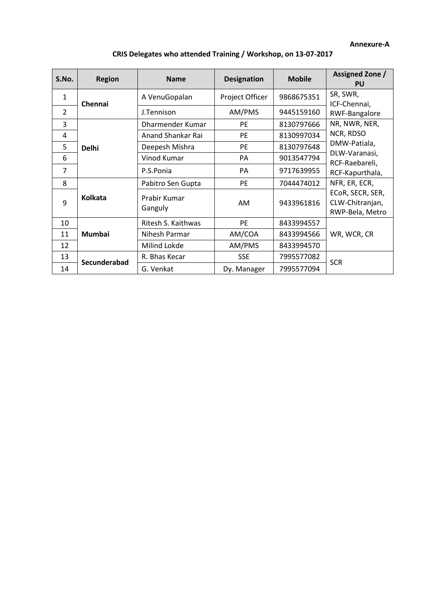#### **Annexure-A**

| S.No.          | <b>Region</b>  | <b>Name</b>             | <b>Designation</b> | <b>Mobile</b>                                          | Assigned Zone /<br><b>PU</b>                       |  |
|----------------|----------------|-------------------------|--------------------|--------------------------------------------------------|----------------------------------------------------|--|
| $\mathbf{1}$   | Chennai        | A VenuGopalan           | Project Officer    | 9868675351                                             | SR, SWR,<br>ICF-Chennai,                           |  |
| 2              |                | J.Tennison              | AM/PMS             | 9445159160                                             | RWF-Bangalore                                      |  |
| 3              | <b>Delhi</b>   | Dharmender Kumar        | <b>PE</b>          | 8130797666                                             | NR, NWR, NER,                                      |  |
| 4              |                | Anand Shankar Rai       | <b>PE</b>          | 8130997034                                             | NCR, RDSO                                          |  |
| 5              |                | Deepesh Mishra          | <b>PE</b>          | 8130797648                                             | DMW-Patiala,                                       |  |
| 6              |                | Vinod Kumar             | PA                 | 9013547794                                             | DLW-Varanasi,<br>RCF-Raebareli,<br>RCF-Kapurthala, |  |
| $\overline{7}$ |                | P.S.Ponia               | PA                 | 9717639955                                             |                                                    |  |
| 8              |                | Pabitro Sen Gupta       | PE                 | 7044474012                                             | NFR, ER, ECR,                                      |  |
| 9              | <b>Kolkata</b> | Prabir Kumar<br>Ganguly | AM<br>9433961816   | ECOR, SECR, SER,<br>CLW-Chitranjan,<br>RWP-Bela, Metro |                                                    |  |
| 10             | <b>Mumbai</b>  | Ritesh S. Kaithwas      | <b>PE</b>          | 8433994557                                             |                                                    |  |
| 11             |                | Nihesh Parmar           | AM/COA             | 8433994566                                             | WR, WCR, CR                                        |  |
| 12             |                | Milind Lokde            | AM/PMS             | 8433994570                                             |                                                    |  |
| 13             | Secunderabad   | R. Bhas Kecar           | <b>SSE</b>         | 7995577082                                             | <b>SCR</b>                                         |  |
| 14             |                | G. Venkat               | Dy. Manager        | 7995577094                                             |                                                    |  |

# **CRIS Delegates who attended Training / Workshop, on 13-07-2017**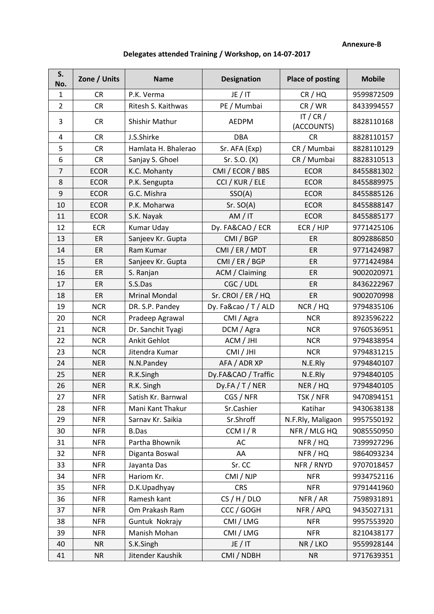#### **Annexure-B**

# **Delegates attended Training / Workshop, on 14-07-2017**

| S.<br>No.      | Zone / Units | <b>Name</b>          | <b>Designation</b>   | <b>Place of posting</b>   | <b>Mobile</b> |
|----------------|--------------|----------------------|----------------------|---------------------------|---------------|
| $\mathbf{1}$   | <b>CR</b>    | P.K. Verma           | JE / IT              | CR / HQ                   | 9599872509    |
| $\overline{2}$ | <b>CR</b>    | Ritesh S. Kaithwas   | PE / Mumbai          | CR / WR                   | 8433994557    |
| 3              | <b>CR</b>    | Shishir Mathur       | <b>AEDPM</b>         | IT / $CR$ /<br>(ACCOUNTS) | 8828110168    |
| 4              | <b>CR</b>    | J.S.Shirke           | <b>DBA</b>           | <b>CR</b>                 | 8828110157    |
| 5              | <b>CR</b>    | Hamlata H. Bhalerao  | Sr. AFA (Exp)        | CR / Mumbai               | 8828110129    |
| 6              | <b>CR</b>    | Sanjay S. Ghoel      | Sr. S.O. (X)         | CR / Mumbai               | 8828310513    |
| $\overline{7}$ | <b>ECOR</b>  | K.C. Mohanty         | CMI / ECOR / BBS     | <b>ECOR</b>               | 8455881302    |
| 8              | <b>ECOR</b>  | P.K. Sengupta        | CCI / KUR / ELE      | <b>ECOR</b>               | 8455889975    |
| 9              | <b>ECOR</b>  | G.C. Mishra          | SSO(A)               | <b>ECOR</b>               | 8455885126    |
| 10             | <b>ECOR</b>  | P.K. Moharwa         | Sr. SO(A)            | <b>ECOR</b>               | 8455888147    |
| 11             | <b>ECOR</b>  | S.K. Nayak           | AM/IT                | <b>ECOR</b>               | 8455885177    |
| 12             | <b>ECR</b>   | <b>Kumar Uday</b>    | Dy. FA&CAO / ECR     | ECR / HJP                 | 9771425106    |
| 13             | ER           | Sanjeev Kr. Gupta    | CMI / BGP            | ER                        | 8092886850    |
| 14             | ER           | Ram Kumar            | CMI / ER / MDT       | ER                        | 9771424987    |
| 15             | ER           | Sanjeev Kr. Gupta    | CMI / ER / BGP       | ER                        | 9771424984    |
| 16             | ER           | S. Ranjan            | ACM / Claiming       | ER                        | 9002020971    |
| 17             | ER           | S.S.Das              | CGC / UDL            | ER                        | 8436222967    |
| 18             | ER           | <b>Mrinal Mondal</b> | Sr. CROI / ER / HQ   | ER                        | 9002070998    |
| 19             | <b>NCR</b>   | DR. S.P. Pandey      | Dy. Fa&cao / T / ALD | NCR / HQ                  | 9794835106    |
| 20             | <b>NCR</b>   | Pradeep Agrawal      | CMI / Agra           | <b>NCR</b>                | 8923596222    |
| 21             | <b>NCR</b>   | Dr. Sanchit Tyagi    | DCM / Agra           | <b>NCR</b>                | 9760536951    |
| 22             | <b>NCR</b>   | Ankit Gehlot         | ACM / JHI            | <b>NCR</b>                | 9794838954    |
| 23             | <b>NCR</b>   | Jitendra Kumar       | CMI / JHI            | <b>NCR</b>                | 9794831215    |
| 24             | <b>NER</b>   | N.N.Pandey           | AFA / ADR XP         | N.E.Rly                   | 9794840107    |
| 25             | <b>NER</b>   | R.K.Singh            | Dy.FA&CAO / Traffic  | N.E.Rly                   | 9794840105    |
| 26             | <b>NER</b>   | R.K. Singh           | Dy.FA/T/NER          | NER / HQ                  | 9794840105    |
| 27             | <b>NFR</b>   | Satish Kr. Barnwal   | CGS / NFR            | TSK / NFR                 | 9470894151    |
| 28             | <b>NFR</b>   | Mani Kant Thakur     | Sr.Cashier           | Katihar                   | 9430638138    |
| 29             | <b>NFR</b>   | Sarnav Kr. Saikia    | Sr.Shroff            | N.F.Rly, Maligaon         | 9957550192    |
| 30             | <b>NFR</b>   | <b>B.Das</b>         | CCM I/R              | NFR / MLG HQ              | 9085550950    |
| 31             | <b>NFR</b>   | Partha Bhownik       | AC                   | NFR / HQ                  | 7399927296    |
| 32             | <b>NFR</b>   | Diganta Boswal       | AA                   | NFR / HQ                  | 9864093234    |
| 33             | <b>NFR</b>   | Jayanta Das          | Sr. CC               | NFR / RNYD                | 9707018457    |
| 34             | <b>NFR</b>   | Hariom Kr.           | CMI / NJP            | <b>NFR</b>                | 9934752116    |
| 35             | <b>NFR</b>   | D.K.Upadhyay         | <b>CRS</b>           | <b>NFR</b>                | 9791441960    |
| 36             | <b>NFR</b>   | Ramesh kant          | CS/H/DLO             | NFR / AR                  | 7598931891    |
| 37             | <b>NFR</b>   | Om Prakash Ram       | CCC / GOGH           | NFR / APQ                 | 9435027131    |
| 38             | <b>NFR</b>   | Guntuk Nokrajy       | CMI / LMG            | <b>NFR</b>                | 9957553920    |
| 39             | <b>NFR</b>   | Manish Mohan         | CMI / LMG            | <b>NFR</b>                | 8210438177    |
| 40             | <b>NR</b>    | S.K.Singh            | JE / IT              | NR / LKO                  | 9559928144    |
| 41             | <b>NR</b>    | Jitender Kaushik     | CMI / NDBH           | <b>NR</b>                 | 9717639351    |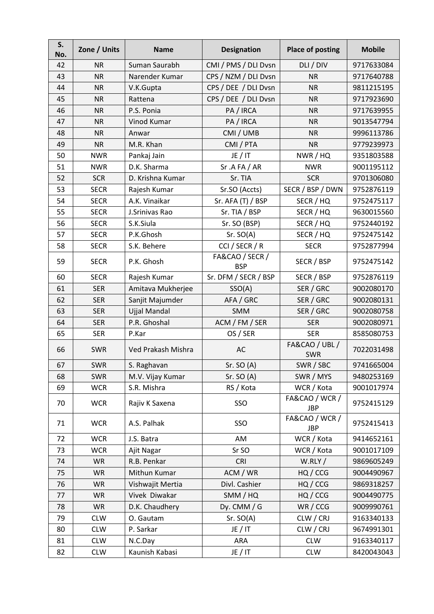| S.<br>No. | Zone / Units | <b>Name</b>        | <b>Designation</b>            | <b>Place of posting</b>      | <b>Mobile</b> |
|-----------|--------------|--------------------|-------------------------------|------------------------------|---------------|
| 42        | <b>NR</b>    | Suman Saurabh      | CMI / PMS / DLI Dvsn          | DLI / DIV                    | 9717633084    |
| 43        | <b>NR</b>    | Narender Kumar     | CPS / NZM / DLI Dvsn          | <b>NR</b>                    | 9717640788    |
| 44        | <b>NR</b>    | V.K.Gupta          | CPS / DEE / DLI Dvsn          | <b>NR</b>                    | 9811215195    |
| 45        | <b>NR</b>    | Rattena            | CPS / DEE / DLI Dvsn          | <b>NR</b>                    | 9717923690    |
| 46        | <b>NR</b>    | P.S. Ponia         | PA / IRCA                     | <b>NR</b>                    | 9717639955    |
| 47        | <b>NR</b>    | Vinod Kumar        | PA / IRCA                     | <b>NR</b>                    | 9013547794    |
| 48        | <b>NR</b>    | Anwar              | CMI / UMB                     | <b>NR</b>                    | 9996113786    |
| 49        | <b>NR</b>    | M.R. Khan          | CMI / PTA                     | <b>NR</b>                    | 9779239973    |
| 50        | <b>NWR</b>   | Pankaj Jain        | JE / IT                       | NWR / HQ                     | 9351803588    |
| 51        | <b>NWR</b>   | D.K. Sharma        | Sr.AFA/AR                     | <b>NWR</b>                   | 9001195112    |
| 52        | <b>SCR</b>   | D. Krishna Kumar   | Sr. TIA                       | <b>SCR</b>                   | 9701306080    |
| 53        | <b>SECR</b>  | Rajesh Kumar       | Sr.SO (Accts)                 | SECR / BSP / DWN             | 9752876119    |
| 54        | <b>SECR</b>  | A.K. Vinaikar      | Sr. AFA $(T)$ / BSP           | SECR / HQ                    | 9752475117    |
| 55        | <b>SECR</b>  | J.Srinivas Rao     | Sr. TIA / BSP                 | SECR / HQ                    | 9630015560    |
| 56        | <b>SECR</b>  | S.K.Siula          | Sr. SO (BSP)                  | SECR / HQ                    | 9752440192    |
| 57        | <b>SECR</b>  | P.K.Ghosh          | Sr. SO(A)                     | SECR / HQ                    | 9752475142    |
| 58        | <b>SECR</b>  | S.K. Behere        | CCI / SECR / R                | <b>SECR</b>                  | 9752877994    |
| 59        | <b>SECR</b>  | P.K. Ghosh         | FA&CAO / SECR /<br><b>BSP</b> | SECR / BSP                   | 9752475142    |
| 60        | <b>SECR</b>  | Rajesh Kumar       | Sr. DFM / SECR / BSP          | SECR / BSP                   | 9752876119    |
| 61        | <b>SER</b>   | Amitava Mukherjee  | SSO(A)                        | SER / GRC                    | 9002080170    |
| 62        | <b>SER</b>   | Sanjit Majumder    | AFA / GRC                     | SER / GRC                    | 9002080131    |
| 63        | <b>SER</b>   | Ujjal Mandal       | <b>SMM</b>                    | SER / GRC                    | 9002080758    |
| 64        | <b>SER</b>   | P.R. Ghoshal       | ACM / FM / SER                | <b>SER</b>                   | 9002080971    |
| 65        | <b>SER</b>   | P.Kar              | OS / SER                      | <b>SER</b>                   | 8585080753    |
| 66        | SWR          | Ved Prakash Mishra | AC                            | FA&CAO / UBL /<br>SWR        | 7022031498    |
| 67        | SWR          | S. Raghavan        | Sr. SO(A)                     | SWR / SBC                    | 9741665004    |
| 68        | <b>SWR</b>   | M.V. Vijay Kumar   | Sr. SO $(A)$                  | SWR / MYS                    | 9480253169    |
| 69        | <b>WCR</b>   | S.R. Mishra        | RS / Kota                     | WCR / Kota                   | 9001017974    |
| 70        | <b>WCR</b>   | Rajiv K Saxena     | SSO                           | FA&CAO / WCR /<br><b>JBP</b> | 9752415129    |
| 71        | <b>WCR</b>   | A.S. Palhak        | SSO                           | FA&CAO / WCR /<br><b>JBP</b> | 9752415413    |
| 72        | <b>WCR</b>   | J.S. Batra         | AM                            | WCR / Kota                   | 9414652161    |
| 73        | <b>WCR</b>   | Ajit Nagar         | Sr SO                         | WCR / Kota                   | 9001017109    |
| 74        | <b>WR</b>    | R.B. Penkar        | <b>CRI</b>                    | W.RLY/                       | 9869605249    |
| 75        | <b>WR</b>    | Mithun Kumar       | ACM / WR                      | HQ / CCG                     | 9004490967    |
| 76        | <b>WR</b>    | Vishwajit Mertia   | Divl. Cashier                 | HQ / CCG                     | 9869318257    |
| 77        | <b>WR</b>    | Vivek Diwakar      | SMM / HQ                      | HQ / CCG                     | 9004490775    |
| 78        | WR           | D.K. Chaudhery     | Dy. CMM / $G$                 | WR/CCG                       | 9009990761    |
| 79        | <b>CLW</b>   | O. Gautam          | Sr. SO(A)                     | CLW / CRJ                    | 9163340133    |
| 80        | <b>CLW</b>   | P. Sarkar          | JE/IT                         | CLW / CRJ                    | 9674991301    |
| 81        | <b>CLW</b>   | N.C.Day            | ARA                           | <b>CLW</b>                   | 9163340117    |
| 82        | <b>CLW</b>   | Kaunish Kabasi     | JE/IT                         | <b>CLW</b>                   | 8420043043    |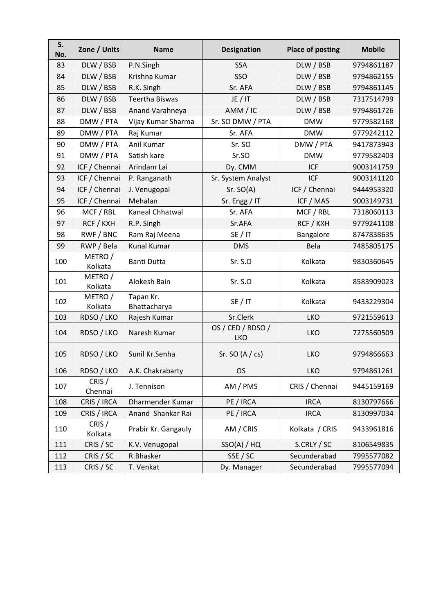| S.<br>No. | Zone / Units       | <b>Name</b>               | <b>Designation</b>              | <b>Place of posting</b> | <b>Mobile</b> |
|-----------|--------------------|---------------------------|---------------------------------|-------------------------|---------------|
| 83        | DLW / BSB          | P.N.Singh                 | <b>SSA</b>                      | DLW / BSB               | 9794861187    |
| 84        | DLW / BSB          | Krishna Kumar             | SSO                             | DLW / BSB               | 9794862155    |
| 85        | DLW / BSB          | R.K. Singh                | Sr. AFA                         | DLW / BSB               | 9794861145    |
| 86        | DLW / BSB          | <b>Teertha Biswas</b>     | JE / IT                         | DLW / BSB               | 7317514799    |
| 87        | DLW / BSB          | Anand Varahneya           | AMM / IC                        | DLW / BSB               | 9794861726    |
| 88        | DMW / PTA          | Vijay Kumar Sharma        | Sr. SO DMW / PTA                | <b>DMW</b>              | 9779582168    |
| 89        | DMW / PTA          | Raj Kumar                 | Sr. AFA                         | <b>DMW</b>              | 9779242112    |
| 90        | DMW / PTA          | Anil Kumar                | Sr. SO                          | DMW / PTA               | 9417873943    |
| 91        | DMW / PTA          | Satish kare               | Sr.SO                           | <b>DMW</b>              | 9779582403    |
| 92        | ICF / Chennai      | Arindam Lai               | Dy. CMM                         | <b>ICF</b>              | 9003141759    |
| 93        | ICF / Chennai      | P. Ranganath              | Sr. System Analyst              | <b>ICF</b>              | 9003141120    |
| 94        | ICF / Chennai      | J. Venugopal              | Sr. SO(A)                       | ICF / Chennai           | 9444953320    |
| 95        | ICF / Chennai      | Mehalan                   | Sr. Engg / IT                   | ICF / MAS               | 9003149731    |
| 96        | MCF / RBL          | Kaneal Chhatwal           | Sr. AFA                         | MCF / RBL               | 7318060113    |
| 97        | RCF / KXH          | R.P. Singh                | Sr.AFA                          | RCF / KXH               | 9779241108    |
| 98        | RWF / BNC          | Ram Raj Meena             | SE/IT                           | Bangalore               | 8747838635    |
| 99        | RWP / Bela         | <b>Kunal Kumar</b>        | <b>DMS</b>                      | Bela                    | 7485805175    |
| 100       | METRO /<br>Kolkata | <b>Banti Dutta</b>        | Sr. S.O                         | Kolkata                 | 9830360645    |
| 101       | METRO /<br>Kolkata | Alokesh Bain              | Sr. S.O                         | Kolkata                 | 8583909023    |
| 102       | METRO /<br>Kolkata | Tapan Kr.<br>Bhattacharya | SE/IT                           | Kolkata                 | 9433229304    |
| 103       | RDSO / LKO         | Rajesh Kumar              | Sr.Clerk                        | <b>LKO</b>              | 9721559613    |
| 104       | RDSO / LKO         | Naresh Kumar              | OS / CED / RDSO /<br><b>LKO</b> | <b>LKO</b>              | 7275560509    |
| 105       | RDSO / LKO         | Sunil Kr.Senha            | Sr. SO $(A / cs)$               | <b>LKO</b>              | 9794866663    |
| 106       | RDSO / LKO         | A.K. Chakrabarty          | <b>OS</b>                       | <b>LKO</b>              | 9794861261    |
| 107       | CRIS /<br>Chennai  | J. Tennison               | AM / PMS                        | CRIS / Chennai          | 9445159169    |
| 108       | CRIS / IRCA        | Dharmender Kumar          | PE / IRCA                       | <b>IRCA</b>             | 8130797666    |
| 109       | CRIS / IRCA        | Anand Shankar Rai         | PE / IRCA                       | <b>IRCA</b>             | 8130997034    |
| 110       | CRIS /<br>Kolkata  | Prabir Kr. Gangauly       | AM / CRIS                       | Kolkata / CRIS          | 9433961816    |
| 111       | CRIS / SC          | K.V. Venugopal            | SSO(A)/HQ                       | S.CRLY / SC             | 8106549835    |
| 112       | CRIS / SC          | R.Bhasker                 | SSE / SC                        | Secunderabad            | 7995577082    |
| 113       | CRIS / SC          | T. Venkat                 | Dy. Manager                     | Secunderabad            | 7995577094    |